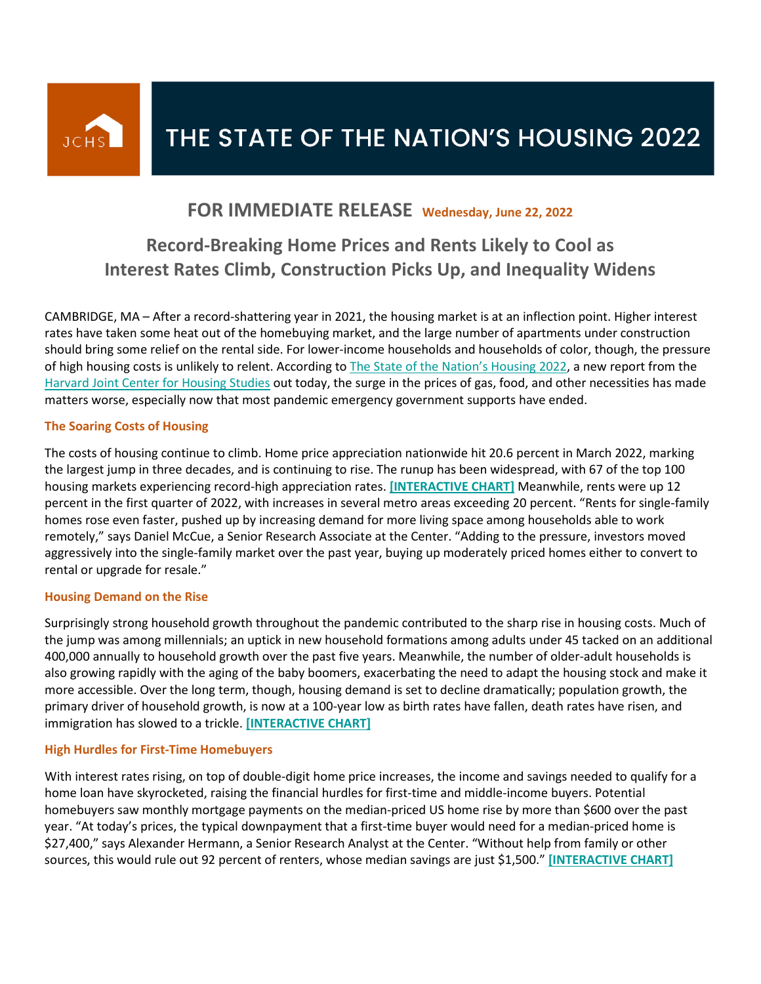

## **FOR IMMEDIATE RELEASE Wednesday, June 22, 2022**

# **Record-Breaking Home Prices and Rents Likely to Cool as Interest Rates Climb, Construction Picks Up, and Inequality Widens**

CAMBRIDGE, MA – After a record-shattering year in 2021, the housing market is at an inflection point. Higher interest rates have taken some heat out of the homebuying market, and the large number of apartments under construction should bring some relief on the rental side. For lower-income households and households of color, though, the pressure of high housing costs is unlikely to relent. According t[o The State of the Nation's Housing 2022,](https://www.jchs.harvard.edu/state-nations-housing-2022) a new report from the [Harvard Joint Center for Housing Studies](https://www.jchs.harvard.edu/) out today, the surge in the prices of gas, food, and other necessities has made matters worse, especially now that most pandemic emergency government supports have ended.

#### **The Soaring Costs of Housing**

The costs of housing continue to climb. Home price appreciation nationwide hit 20.6 percent in March 2022, marking the largest jump in three decades, and is continuing to rise. The runup has been widespread, with 67 of the top 100 housing markets experiencing record-high appreciation rates. **[\[INTERACTIVE CHART\]](https://www.jchs.harvard.edu/son-2022-home-price-growth)** Meanwhile, rents were up 12 percent in the first quarter of 2022, with increases in several metro areas exceeding 20 percent. "Rents for single-family homes rose even faster, pushed up by increasing demand for more living space among households able to work remotely," says Daniel McCue, a Senior Research Associate at the Center. "Adding to the pressure, investors moved aggressively into the single-family market over the past year, buying up moderately priced homes either to convert to rental or upgrade for resale."

### **Housing Demand on the Rise**

Surprisingly strong household growth throughout the pandemic contributed to the sharp rise in housing costs. Much of the jump was among millennials; an uptick in new household formations among adults under 45 tacked on an additional 400,000 annually to household growth over the past five years. Meanwhile, the number of older-adult households is also growing rapidly with the aging of the baby boomers, exacerbating the need to adapt the housing stock and make it more accessible. Over the long term, though, housing demand is set to decline dramatically; population growth, the primary driver of household growth, is now at a 100-year low as birth rates have fallen, death rates have risen, and immigration has slowed to a trickle. **[\[INTERACTIVE CHART\]](https://www.jchs.harvard.edu/son-2022-migration)**

#### **High Hurdles for First-Time Homebuyers**

With interest rates rising, on top of double-digit home price increases, the income and savings needed to qualify for a home loan have skyrocketed, raising the financial hurdles for first-time and middle-income buyers. Potential homebuyers saw monthly mortgage payments on the median-priced US home rise by more than \$600 over the past year. "At today's prices, the typical downpayment that a first-time buyer would need for a median-priced home is \$27,400," says Alexander Hermann, a Senior Research Analyst at the Center. "Without help from family or other sources, this would rule out 92 percent of renters, whose median savings are just \$1,500." **[\[INTERACTIVE CHART\]](https://www.jchs.harvard.edu/son-2022-affordability)**